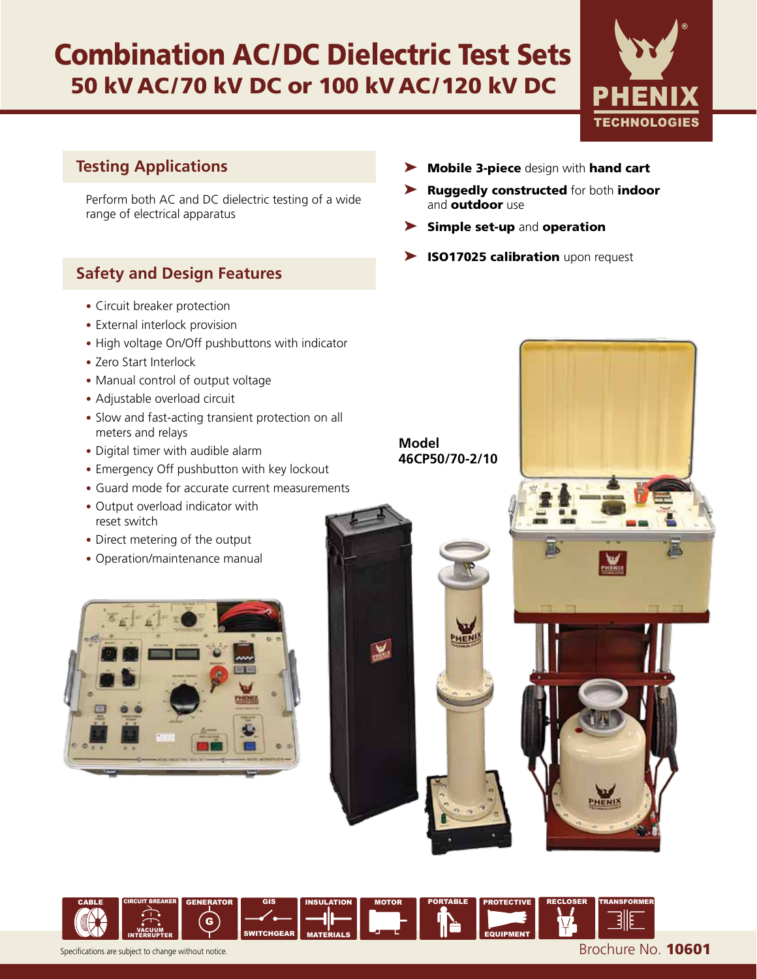## Combination AC/DC Dielectric Test Sets 50 kV AC/70 kV DC or 100 kV AC/120 kV DC



### **Testing Applications**

Perform both AC and DC dielectric testing of a wide range of electrical apparatus

## **Safety and Design Features**

- Circuit breaker protection
- External interlock provision
- High voltage On/Off pushbuttons with indicator
- Zero Start Interlock
- Manual control of output voltage
- Adjustable overload circuit
- Slow and fast-acting transient protection on all meters and relays
- Digital timer with audible alarm
- Emergency Off pushbutton with key lockout
- Guard mode for accurate current measurements
- Output overload indicator with reset switch
- Direct metering of the output
- Operation/maintenance manual





- ➤ Ruggedly constructed for both indoor and **outdoor** use
- ▶ Simple set-up and operation
- ▶ ISO17025 calibration upon request

**Model 46CP50/70-2/10**

MOTOR PORTABLE PROTECTIVE

EQUIPMENT



CIRCUIT BREAKER

G

GENERATOR GIS

SWITCHGEAR

INSULATION

V,

MATERIALS

CABLE

RECLOSER TRANSFORMER